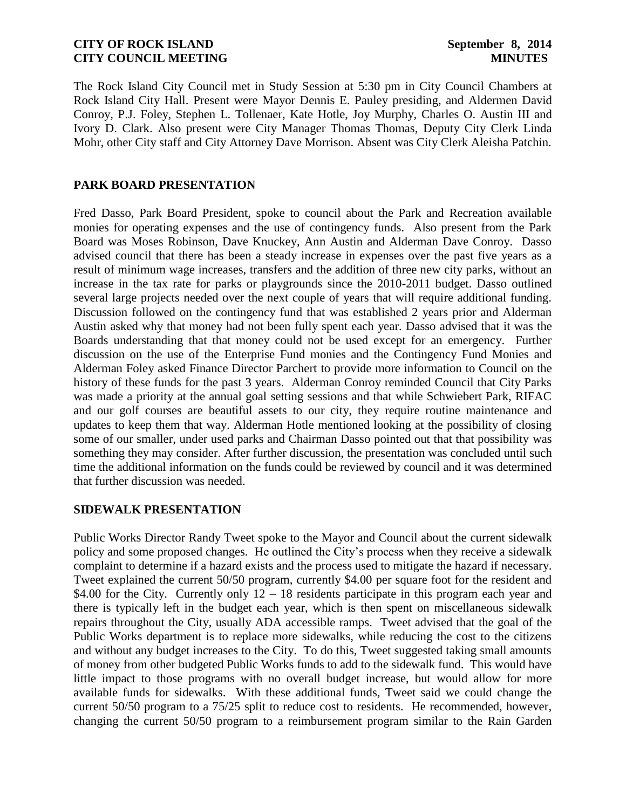The Rock Island City Council met in Study Session at 5:30 pm in City Council Chambers at Rock Island City Hall. Present were Mayor Dennis E. Pauley presiding, and Aldermen David Conroy, P.J. Foley, Stephen L. Tollenaer, Kate Hotle, Joy Murphy, Charles O. Austin III and Ivory D. Clark. Also present were City Manager Thomas Thomas, Deputy City Clerk Linda Mohr, other City staff and City Attorney Dave Morrison. Absent was City Clerk Aleisha Patchin.

# **PARK BOARD PRESENTATION**

Fred Dasso, Park Board President, spoke to council about the Park and Recreation available monies for operating expenses and the use of contingency funds. Also present from the Park Board was Moses Robinson, Dave Knuckey, Ann Austin and Alderman Dave Conroy. Dasso advised council that there has been a steady increase in expenses over the past five years as a result of minimum wage increases, transfers and the addition of three new city parks, without an increase in the tax rate for parks or playgrounds since the 2010-2011 budget. Dasso outlined several large projects needed over the next couple of years that will require additional funding. Discussion followed on the contingency fund that was established 2 years prior and Alderman Austin asked why that money had not been fully spent each year. Dasso advised that it was the Boards understanding that that money could not be used except for an emergency. Further discussion on the use of the Enterprise Fund monies and the Contingency Fund Monies and Alderman Foley asked Finance Director Parchert to provide more information to Council on the history of these funds for the past 3 years. Alderman Conroy reminded Council that City Parks was made a priority at the annual goal setting sessions and that while Schwiebert Park, RIFAC and our golf courses are beautiful assets to our city, they require routine maintenance and updates to keep them that way. Alderman Hotle mentioned looking at the possibility of closing some of our smaller, under used parks and Chairman Dasso pointed out that that possibility was something they may consider. After further discussion, the presentation was concluded until such time the additional information on the funds could be reviewed by council and it was determined that further discussion was needed.

## **SIDEWALK PRESENTATION**

Public Works Director Randy Tweet spoke to the Mayor and Council about the current sidewalk policy and some proposed changes. He outlined the City's process when they receive a sidewalk complaint to determine if a hazard exists and the process used to mitigate the hazard if necessary. Tweet explained the current 50/50 program, currently \$4.00 per square foot for the resident and \$4.00 for the City. Currently only  $12 - 18$  residents participate in this program each year and there is typically left in the budget each year, which is then spent on miscellaneous sidewalk repairs throughout the City, usually ADA accessible ramps. Tweet advised that the goal of the Public Works department is to replace more sidewalks, while reducing the cost to the citizens and without any budget increases to the City. To do this, Tweet suggested taking small amounts of money from other budgeted Public Works funds to add to the sidewalk fund. This would have little impact to those programs with no overall budget increase, but would allow for more available funds for sidewalks. With these additional funds, Tweet said we could change the current 50/50 program to a 75/25 split to reduce cost to residents. He recommended, however, changing the current 50/50 program to a reimbursement program similar to the Rain Garden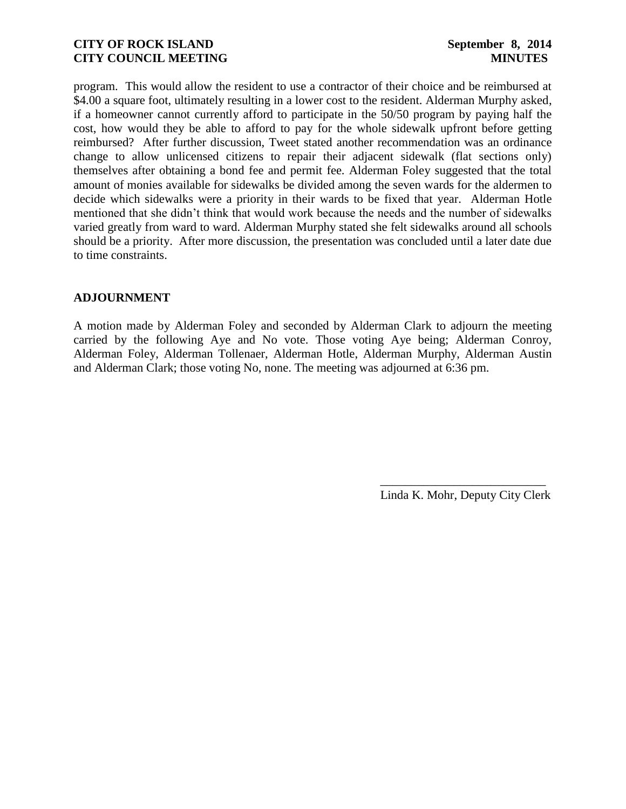program. This would allow the resident to use a contractor of their choice and be reimbursed at \$4.00 a square foot, ultimately resulting in a lower cost to the resident. Alderman Murphy asked, if a homeowner cannot currently afford to participate in the 50/50 program by paying half the cost, how would they be able to afford to pay for the whole sidewalk upfront before getting reimbursed? After further discussion, Tweet stated another recommendation was an ordinance change to allow unlicensed citizens to repair their adjacent sidewalk (flat sections only) themselves after obtaining a bond fee and permit fee. Alderman Foley suggested that the total amount of monies available for sidewalks be divided among the seven wards for the aldermen to decide which sidewalks were a priority in their wards to be fixed that year. Alderman Hotle mentioned that she didn't think that would work because the needs and the number of sidewalks varied greatly from ward to ward. Alderman Murphy stated she felt sidewalks around all schools should be a priority. After more discussion, the presentation was concluded until a later date due to time constraints.

# **ADJOURNMENT**

A motion made by Alderman Foley and seconded by Alderman Clark to adjourn the meeting carried by the following Aye and No vote. Those voting Aye being; Alderman Conroy, Alderman Foley, Alderman Tollenaer, Alderman Hotle, Alderman Murphy, Alderman Austin and Alderman Clark; those voting No, none. The meeting was adjourned at 6:36 pm.

Linda K. Mohr, Deputy City Clerk

 $\overline{\phantom{a}}$  , which is the set of the set of the set of the set of the set of the set of the set of the set of the set of the set of the set of the set of the set of the set of the set of the set of the set of the set of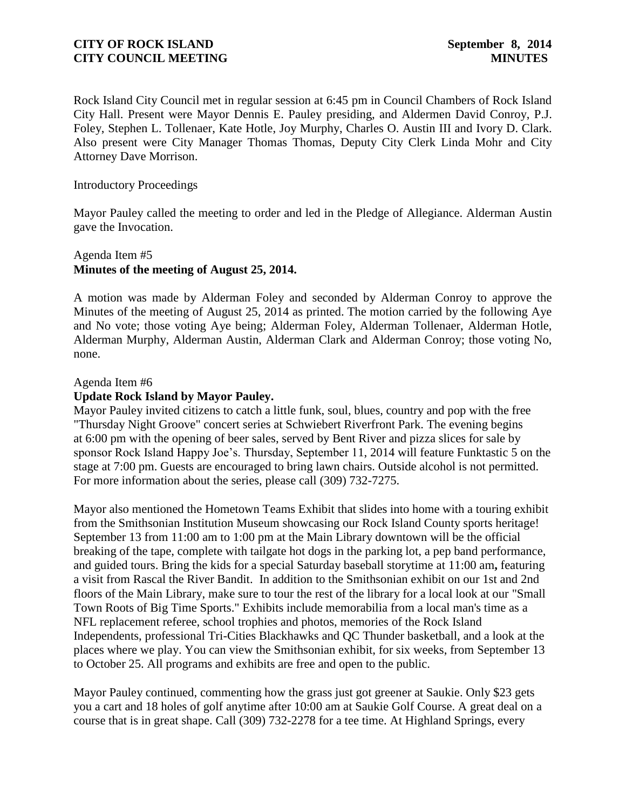Rock Island City Council met in regular session at 6:45 pm in Council Chambers of Rock Island City Hall. Present were Mayor Dennis E. Pauley presiding, and Aldermen David Conroy, P.J. Foley, Stephen L. Tollenaer, Kate Hotle, Joy Murphy, Charles O. Austin III and Ivory D. Clark. Also present were City Manager Thomas Thomas, Deputy City Clerk Linda Mohr and City Attorney Dave Morrison.

### Introductory Proceedings

Mayor Pauley called the meeting to order and led in the Pledge of Allegiance. Alderman Austin gave the Invocation.

# Agenda Item #5 **Minutes of the meeting of August 25, 2014.**

A motion was made by Alderman Foley and seconded by Alderman Conroy to approve the Minutes of the meeting of August 25, 2014 as printed. The motion carried by the following Aye and No vote; those voting Aye being; Alderman Foley, Alderman Tollenaer, Alderman Hotle, Alderman Murphy, Alderman Austin, Alderman Clark and Alderman Conroy; those voting No, none.

### Agenda Item #6

## **Update Rock Island by Mayor Pauley.**

Mayor Pauley invited citizens to catch a little funk, soul, blues, country and pop with the free "Thursday Night Groove" concert series at Schwiebert Riverfront Park. The evening begins at 6:00 pm with the opening of beer sales, served by Bent River and pizza slices for sale by sponsor Rock Island Happy Joe's. Thursday, September 11, 2014 will feature Funktastic 5 on the stage at 7:00 pm. Guests are encouraged to bring lawn chairs. Outside alcohol is not permitted. For more information about the series, please call (309) 732-7275.

Mayor also mentioned the Hometown Teams Exhibit that slides into home with a touring exhibit from the Smithsonian Institution Museum showcasing our Rock Island County sports heritage! September 13 from 11:00 am to 1:00 pm at the Main Library downtown will be the official breaking of the tape, complete with tailgate hot dogs in the parking lot, a pep band performance, and guided tours. Bring the kids for a special Saturday baseball storytime at 11:00 am**,** featuring a visit from Rascal the River Bandit. In addition to the Smithsonian exhibit on our 1st and 2nd floors of the Main Library, make sure to tour the rest of the library for a local look at our "Small Town Roots of Big Time Sports." Exhibits include memorabilia from a local man's time as a NFL replacement referee, school trophies and photos, memories of the Rock Island Independents, professional Tri-Cities Blackhawks and QC Thunder basketball, and a look at the places where we play. You can view the Smithsonian exhibit, for six weeks, from September 13 to October 25. All programs and exhibits are free and open to the public.

Mayor Pauley continued, commenting how the grass just got greener at Saukie. Only \$23 gets you a cart and 18 holes of golf anytime after 10:00 am at Saukie Golf Course. A great deal on a course that is in great shape. Call (309) 732-2278 for a tee time. At Highland Springs, every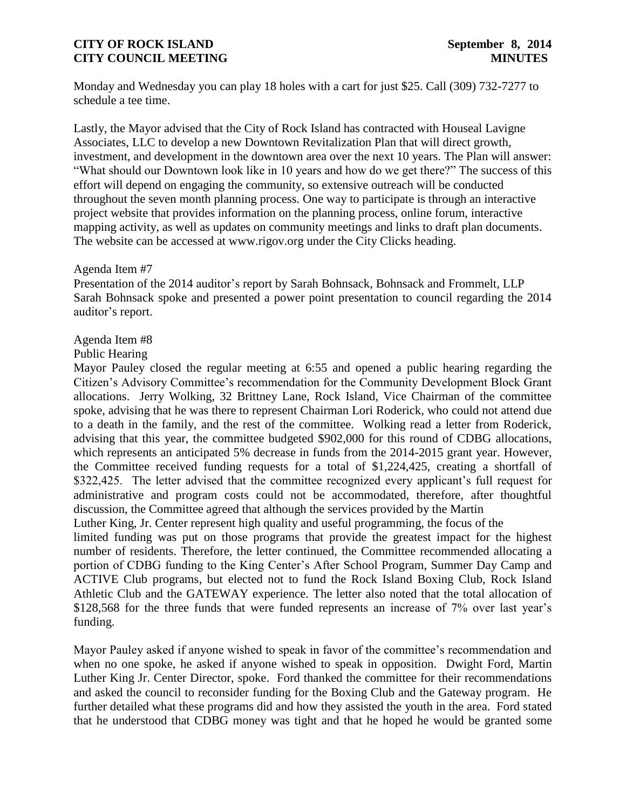Monday and Wednesday you can play 18 holes with a cart for just \$25. Call (309) 732-7277 to schedule a tee time.

Lastly, the Mayor advised that the City of Rock Island has contracted with Houseal Lavigne Associates, LLC to develop a new Downtown Revitalization Plan that will direct growth, investment, and development in the downtown area over the next 10 years. The Plan will answer: "What should our Downtown look like in 10 years and how do we get there?" The success of this effort will depend on engaging the community, so extensive outreach will be conducted throughout the seven month planning process. One way to participate is through an interactive project website that provides information on the planning process, online forum, interactive mapping activity, as well as updates on community meetings and links to draft plan documents. The website can be accessed at www.rigov.org under the City Clicks heading.

### Agenda Item #7

Presentation of the 2014 auditor's report by Sarah Bohnsack, Bohnsack and Frommelt, LLP Sarah Bohnsack spoke and presented a power point presentation to council regarding the 2014 auditor's report.

## Agenda Item #8

### Public Hearing

Mayor Pauley closed the regular meeting at 6:55 and opened a public hearing regarding the Citizen's Advisory Committee's recommendation for the Community Development Block Grant allocations. Jerry Wolking, 32 Brittney Lane, Rock Island, Vice Chairman of the committee spoke, advising that he was there to represent Chairman Lori Roderick, who could not attend due to a death in the family, and the rest of the committee. Wolking read a letter from Roderick, advising that this year, the committee budgeted \$902,000 for this round of CDBG allocations, which represents an anticipated 5% decrease in funds from the 2014-2015 grant year. However, the Committee received funding requests for a total of \$1,224,425, creating a shortfall of \$322,425. The letter advised that the committee recognized every applicant's full request for administrative and program costs could not be accommodated, therefore, after thoughtful discussion, the Committee agreed that although the services provided by the Martin

Luther King, Jr. Center represent high quality and useful programming, the focus of the limited funding was put on those programs that provide the greatest impact for the highest number of residents. Therefore, the letter continued, the Committee recommended allocating a portion of CDBG funding to the King Center's After School Program, Summer Day Camp and ACTIVE Club programs, but elected not to fund the Rock Island Boxing Club, Rock Island Athletic Club and the GATEWAY experience. The letter also noted that the total allocation of \$128,568 for the three funds that were funded represents an increase of 7% over last year's funding.

Mayor Pauley asked if anyone wished to speak in favor of the committee's recommendation and when no one spoke, he asked if anyone wished to speak in opposition. Dwight Ford, Martin Luther King Jr. Center Director, spoke. Ford thanked the committee for their recommendations and asked the council to reconsider funding for the Boxing Club and the Gateway program. He further detailed what these programs did and how they assisted the youth in the area. Ford stated that he understood that CDBG money was tight and that he hoped he would be granted some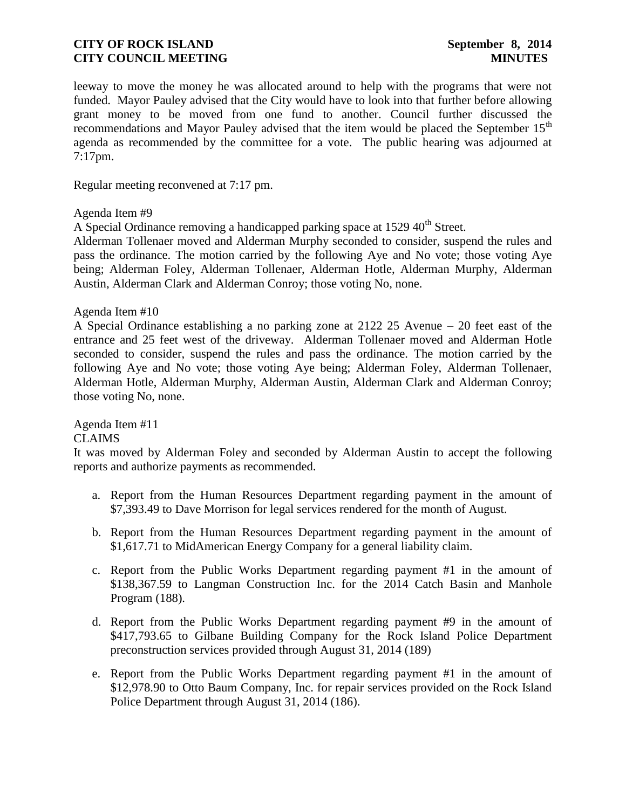leeway to move the money he was allocated around to help with the programs that were not funded. Mayor Pauley advised that the City would have to look into that further before allowing grant money to be moved from one fund to another. Council further discussed the recommendations and Mayor Pauley advised that the item would be placed the September 15<sup>th</sup> agenda as recommended by the committee for a vote. The public hearing was adjourned at 7:17pm.

Regular meeting reconvened at 7:17 pm.

Agenda Item #9

A Special Ordinance removing a handicapped parking space at 1529 40<sup>th</sup> Street.

Alderman Tollenaer moved and Alderman Murphy seconded to consider, suspend the rules and pass the ordinance. The motion carried by the following Aye and No vote; those voting Aye being; Alderman Foley, Alderman Tollenaer, Alderman Hotle, Alderman Murphy, Alderman Austin, Alderman Clark and Alderman Conroy; those voting No, none.

### Agenda Item #10

A Special Ordinance establishing a no parking zone at 2122 25 Avenue – 20 feet east of the entrance and 25 feet west of the driveway. Alderman Tollenaer moved and Alderman Hotle seconded to consider, suspend the rules and pass the ordinance. The motion carried by the following Aye and No vote; those voting Aye being; Alderman Foley, Alderman Tollenaer, Alderman Hotle, Alderman Murphy, Alderman Austin, Alderman Clark and Alderman Conroy; those voting No, none.

Agenda Item #11

### CLAIMS

It was moved by Alderman Foley and seconded by Alderman Austin to accept the following reports and authorize payments as recommended.

- a. [Report from the Human Resources Department regarding payment in the amount of](http://www.rigov.org/DocumentCenter/View/7543)  [\\$7,393.49 to Dave Morrison for legal services rendered for the month of August.](http://www.rigov.org/DocumentCenter/View/7543)
- b. [Report from the Human Resources Department regarding payment in the amount of](http://www.rigov.org/DocumentCenter/View/7551)  [\\$1,617.71 to MidAmerican Energy Company for a general liability claim.](http://www.rigov.org/DocumentCenter/View/7551)
- c. [Report from the Public Works Department regarding payment #1 in the amount of](http://www.rigov.org/DocumentCenter/View/7541)  [\\$138,367.59 to Langman Construction Inc. for the](http://www.rigov.org/DocumentCenter/View/7541) 2014 Catch Basin and Manhole [Program \(188\).](http://www.rigov.org/DocumentCenter/View/7541)
- d. [Report from the Public Works Department regarding payment #9 in the amount of](http://www.rigov.org/DocumentCenter/View/7542)  [\\$417,793.65 to Gilbane Building Company for the Rock Island](http://www.rigov.org/DocumentCenter/View/7542) Police Department [preconstruction services provided through August 31, 2014 \(189\)](http://www.rigov.org/DocumentCenter/View/7542)
- e. [Report from the Public Works Department regarding payment #1 in the amount of](http://www.rigov.org/DocumentCenter/View/7540)  [\\$12,978.90 to Otto Baum Company, Inc. for repair services provided on the Rock Island](http://www.rigov.org/DocumentCenter/View/7540)  [Police Department through August 31, 2014 \(186\).](http://www.rigov.org/DocumentCenter/View/7540)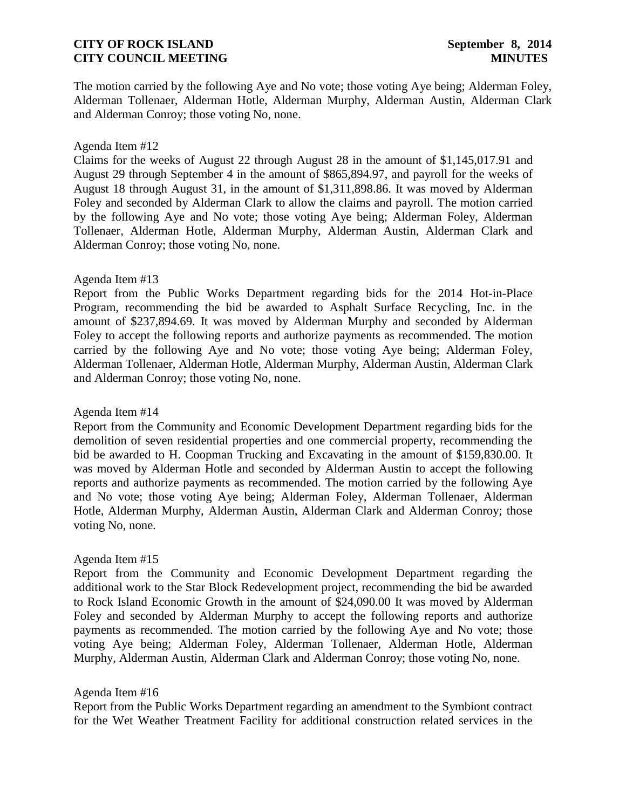The motion carried by the following Aye and No vote; those voting Aye being; Alderman Foley, Alderman Tollenaer, Alderman Hotle, Alderman Murphy, Alderman Austin, Alderman Clark and Alderman Conroy; those voting No, none.

#### Agenda Item #12

[Claims for the weeks of August 22 through August 28 in the amount of \\$1,145,017.91](http://www.rigov.org/DocumentCenter/View/7528) and [August 29 through September 4 in the amount of \\$865,894.97,](http://www.rigov.org/DocumentCenter/View/7555) and [payroll for the weeks of](http://www.rigov.org/DocumentCenter/View/7552)  [August 18 through August 31, in the amount of \\$1,311,898.86.](http://www.rigov.org/DocumentCenter/View/7552) It was moved by Alderman Foley and seconded by Alderman Clark to allow the claims and payroll. The motion carried by the following Aye and No vote; those voting Aye being; Alderman Foley, Alderman Tollenaer, Alderman Hotle, Alderman Murphy, Alderman Austin, Alderman Clark and Alderman Conroy; those voting No, none.

### Agenda Item #13

[Report from the Public Works Department regarding bids for the 2014](http://www.rigov.org/DocumentCenter/View/7538) Hot-in-Place [Program, recommending the bid be awarded to Asphalt Surface Recycling, Inc. in the](http://www.rigov.org/DocumentCenter/View/7538)  [amount of \\$237,894.69.](http://www.rigov.org/DocumentCenter/View/7538) It was moved by Alderman Murphy and seconded by Alderman Foley to accept the following reports and authorize payments as recommended. The motion carried by the following Aye and No vote; those voting Aye being; Alderman Foley, Alderman Tollenaer, Alderman Hotle, Alderman Murphy, Alderman Austin, Alderman Clark and Alderman Conroy; those voting No, none.

#### Agenda Item #14

[Report from the Community and Economic Development Department regarding bids for the](http://www.rigov.org/DocumentCenter/View/7530)  [demolition of seven residential properties and one commercial property, recommending the](http://www.rigov.org/DocumentCenter/View/7530)  bid be awarded to H. Coopman [Trucking and Excavating in the amount of \\$159,830.00.](http://www.rigov.org/DocumentCenter/View/7530) It was moved by Alderman Hotle and seconded by Alderman Austin to accept the following reports and authorize payments as recommended. The motion carried by the following Aye and No vote; those voting Aye being; Alderman Foley, Alderman Tollenaer, Alderman Hotle, Alderman Murphy, Alderman Austin, Alderman Clark and Alderman Conroy; those voting No, none.

## Agenda Item #15

Report from [the Community and Economic Development Department regarding the](http://www.rigov.org/DocumentCenter/View/7539)  [additional work to the Star Block Redevelopment project, recommending the bid be awarded](http://www.rigov.org/DocumentCenter/View/7539)  [to Rock Island Economic Growth in the amount of \\$24,090.00](http://www.rigov.org/DocumentCenter/View/7539) It was moved by Alderman Foley and seconded by Alderman Murphy to accept the following reports and authorize payments as recommended. The motion carried by the following Aye and No vote; those voting Aye being; Alderman Foley, Alderman Tollenaer, Alderman Hotle, Alderman Murphy, Alderman Austin, Alderman Clark and Alderman Conroy; those voting No, none.

#### Agenda Item #16

[Report from the Public Works Department regarding an amendment to the Symbiont contract](http://www.rigov.org/DocumentCenter/View/7546)  [for the Wet Weather Treatment Facility for additional construction related services in the](http://www.rigov.org/DocumentCenter/View/7546)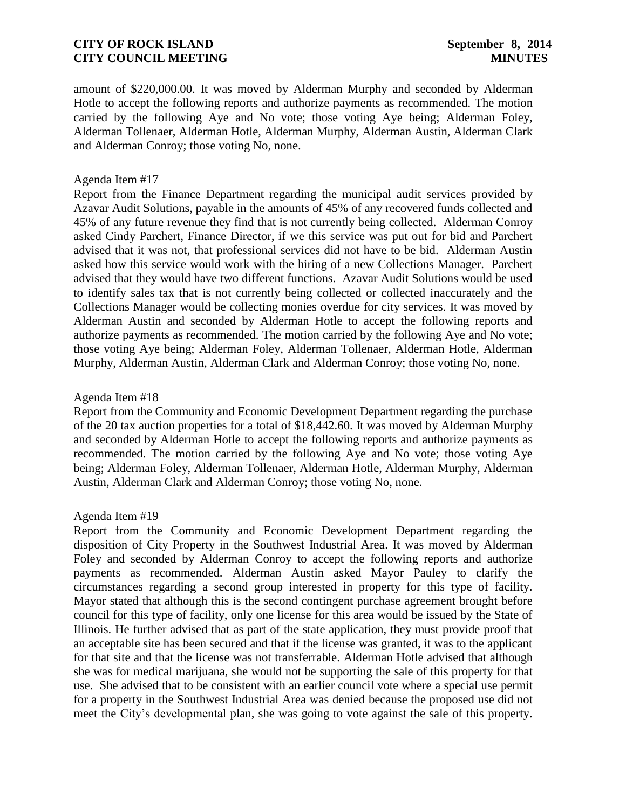amount of \$220,000.00. It was moved by Alderman Murphy and seconded by Alderman Hotle to accept the following reports and authorize payments as recommended. The motion carried by the following Aye and No vote; those voting Aye being; Alderman Foley, Alderman Tollenaer, Alderman Hotle, Alderman Murphy, Alderman Austin, Alderman Clark and Alderman Conroy; those voting No, none.

#### Agenda Item #17

[Report from the Finance Department regarding the municipal audit services provided by](http://www.rigov.org/DocumentCenter/View/7545)  [Azavar Audit Solutions, payable in the amounts of 45% of any recovered funds collected and](http://www.rigov.org/DocumentCenter/View/7545)  [45% of any future revenue they find that is not currently being collected.](http://www.rigov.org/DocumentCenter/View/7545) Alderman Conroy asked Cindy Parchert, Finance Director, if we this service was put out for bid and Parchert advised that it was not, that professional services did not have to be bid. Alderman Austin asked how this service would work with the hiring of a new Collections Manager. Parchert advised that they would have two different functions. Azavar Audit Solutions would be used to identify sales tax that is not currently being collected or collected inaccurately and the Collections Manager would be collecting monies overdue for city services. It was moved by Alderman Austin and seconded by Alderman Hotle to accept the following reports and authorize payments as recommended. The motion carried by the following Aye and No vote; those voting Aye being; Alderman Foley, Alderman Tollenaer, Alderman Hotle, Alderman Murphy, Alderman Austin, Alderman Clark and Alderman Conroy; those voting No, none.

#### Agenda Item #18

[Report from the Community and Economic Development Department regarding the purchase](http://www.rigov.org/DocumentCenter/View/7548)  [of the 20 tax auction properties for a total of \\$18,442.60.](http://www.rigov.org/DocumentCenter/View/7548) It was moved by Alderman Murphy and seconded by Alderman Hotle to accept the following reports and authorize payments as recommended. The motion carried by the following Aye and No vote; those voting Aye being; Alderman Foley, Alderman Tollenaer, Alderman Hotle, Alderman Murphy, Alderman Austin, Alderman Clark and Alderman Conroy; those voting No, none.

#### Agenda Item #19

[Report from the Community and Economic Development Department regarding the](http://www.rigov.org/DocumentCenter/View/7547)  [disposition of City Property in the Southwest Industrial Area.](http://www.rigov.org/DocumentCenter/View/7547) It was moved by Alderman Foley and seconded by Alderman Conroy to accept the following reports and authorize payments as recommended. Alderman Austin asked Mayor Pauley to clarify the circumstances regarding a second group interested in property for this type of facility. Mayor stated that although this is the second contingent purchase agreement brought before council for this type of facility, only one license for this area would be issued by the State of Illinois. He further advised that as part of the state application, they must provide proof that an acceptable site has been secured and that if the license was granted, it was to the applicant for that site and that the license was not transferrable. Alderman Hotle advised that although she was for medical marijuana, she would not be supporting the sale of this property for that use. She advised that to be consistent with an earlier council vote where a special use permit for a property in the Southwest Industrial Area was denied because the proposed use did not meet the City's developmental plan, she was going to vote against the sale of this property.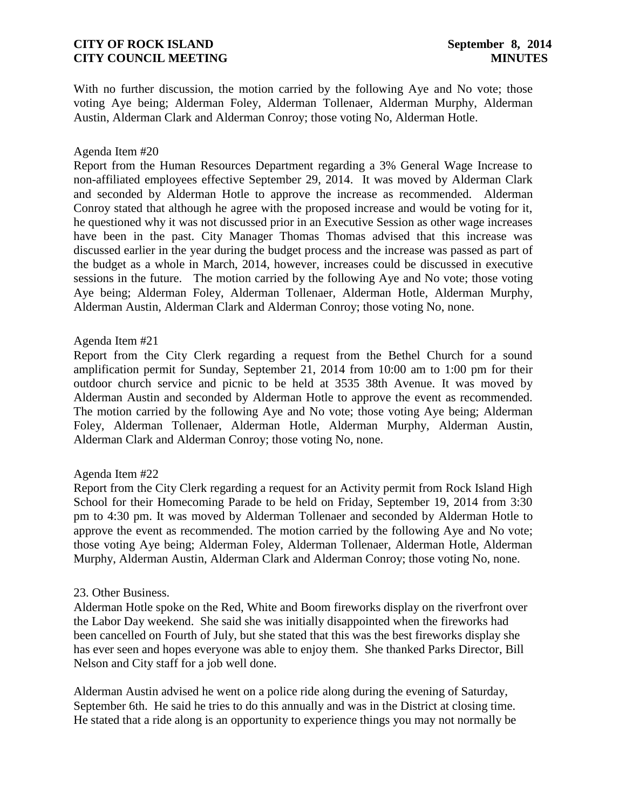With no further discussion, the motion carried by the following Aye and No vote; those voting Aye being; Alderman Foley, Alderman Tollenaer, Alderman Murphy, Alderman Austin, Alderman Clark and Alderman Conroy; those voting No, Alderman Hotle.

### Agenda Item #20

[Report from the Human Resources Department regarding a 3% General Wage Increase to](http://www.rigov.org/DocumentCenter/View/7549)  [non-affiliated employees effective September 29, 2014.](http://www.rigov.org/DocumentCenter/View/7549) It was moved by Alderman Clark and seconded by Alderman Hotle to approve the increase as recommended. Alderman Conroy stated that although he agree with the proposed increase and would be voting for it, he questioned why it was not discussed prior in an Executive Session as other wage increases have been in the past. City Manager Thomas Thomas advised that this increase was discussed earlier in the year during the budget process and the increase was passed as part of the budget as a whole in March, 2014, however, increases could be discussed in executive sessions in the future. The motion carried by the following Aye and No vote; those voting Aye being; Alderman Foley, Alderman Tollenaer, Alderman Hotle, Alderman Murphy, Alderman Austin, Alderman Clark and Alderman Conroy; those voting No, none.

#### Agenda Item #21

[Report from the City Clerk regarding a request from the Bethel Church for a sound](http://www.rigov.org/DocumentCenter/View/7529)  [amplification permit for Sunday, September 21, 2014 from 10:00 am to 1:00 pm for their](http://www.rigov.org/DocumentCenter/View/7529)  [outdoor church service and picnic to be held at 3535 38th Avenue.](http://www.rigov.org/DocumentCenter/View/7529) It was moved by Alderman Austin and seconded by Alderman Hotle to approve the event as recommended. The motion carried by the following Aye and No vote; those voting Aye being; Alderman Foley, Alderman Tollenaer, Alderman Hotle, Alderman Murphy, Alderman Austin, Alderman Clark and Alderman Conroy; those voting No, none.

## Agenda Item #22

[Report from the City Clerk regarding a request for an Activity permit from Rock Island High](http://www.rigov.org/DocumentCenter/View/7532)  [School for their Homecoming Parade to be held on Friday, September 19, 2014 from 3:30](http://www.rigov.org/DocumentCenter/View/7532)  [pm to 4:30 pm.](http://www.rigov.org/DocumentCenter/View/7532) It was moved by Alderman Tollenaer and seconded by Alderman Hotle to approve the event as recommended. The motion carried by the following Aye and No vote; those voting Aye being; Alderman Foley, Alderman Tollenaer, Alderman Hotle, Alderman Murphy, Alderman Austin, Alderman Clark and Alderman Conroy; those voting No, none.

## 23. Other Business.

Alderman Hotle spoke on the Red, White and Boom fireworks display on the riverfront over the Labor Day weekend. She said she was initially disappointed when the fireworks had been cancelled on Fourth of July, but she stated that this was the best fireworks display she has ever seen and hopes everyone was able to enjoy them. She thanked Parks Director, Bill Nelson and City staff for a job well done.

Alderman Austin advised he went on a police ride along during the evening of Saturday, September 6th. He said he tries to do this annually and was in the District at closing time. He stated that a ride along is an opportunity to experience things you may not normally be